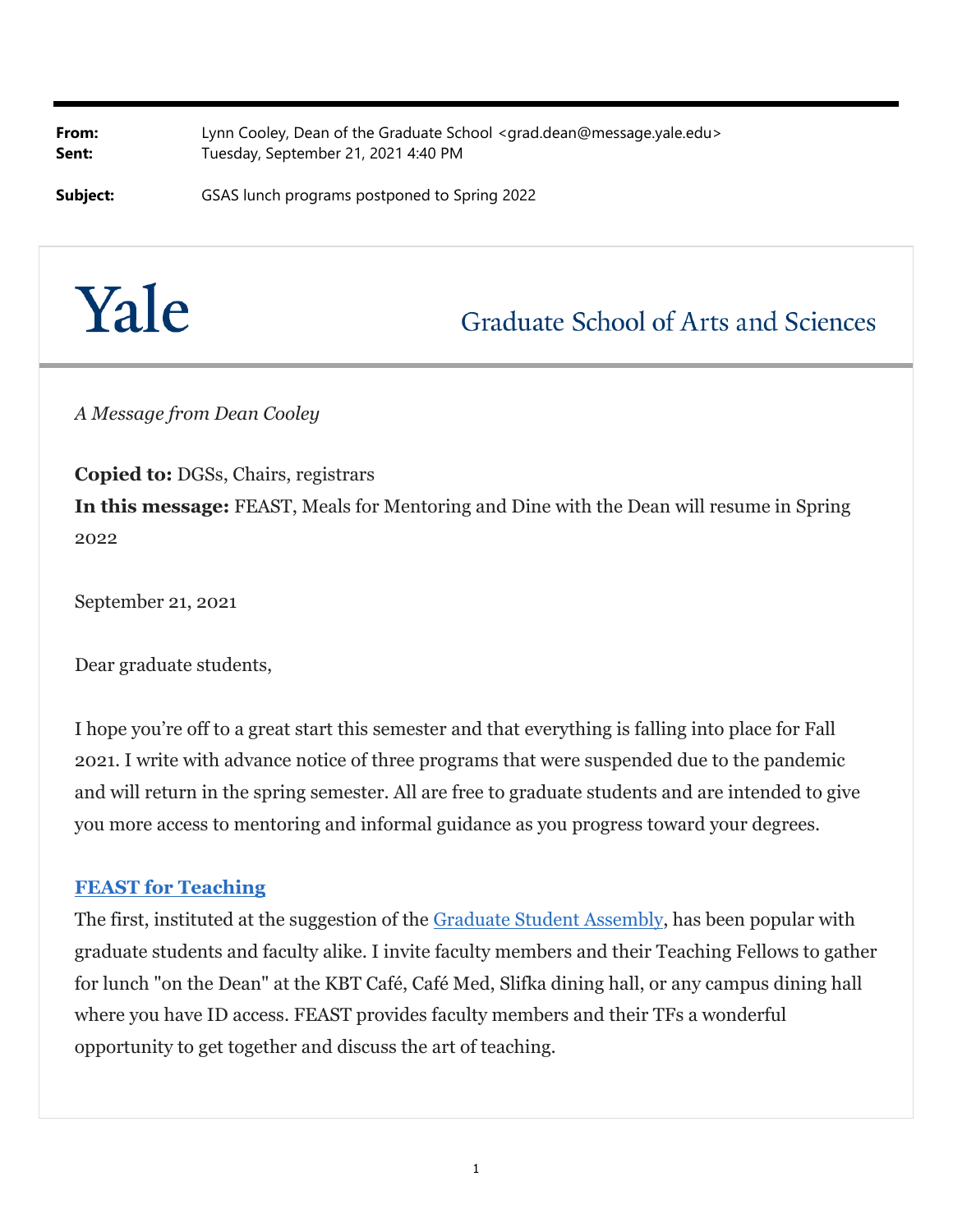**From:** Lynn Cooley, Dean of the Graduate School <grad.dean@message.yale.edu> Sent: Tuesday, September 21, 2021 4:40 PM

**Subject:** GSAS lunch programs postponed to Spring 2022

# Yale

## **Graduate School of Arts and Sciences**

*A Message from Dean Cooley*

**Copied to:** DGSs, Chairs, registrars

**In this message:** FEAST, Meals for Mentoring and Dine with the Dean will resume in Spring 2022

September 21, 2021

Dear graduate students,

I hope you're off to a great start this semester and that everything is falling into place for Fall 2021. I write with advance notice of three programs that were suspended due to the pandemic and will return in the spring semester. All are free to graduate students and are intended to give you more access to mentoring and informal guidance as you progress toward your degrees.

#### **FEAST for Teaching**

The first, instituted at the suggestion of the Graduate Student Assembly, has been popular with graduate students and faculty alike. I invite faculty members and their Teaching Fellows to gather for lunch "on the Dean" at the KBT Café, Café Med, Slifka dining hall, or any campus dining hall where you have ID access. FEAST provides faculty members and their TFs a wonderful opportunity to get together and discuss the art of teaching.